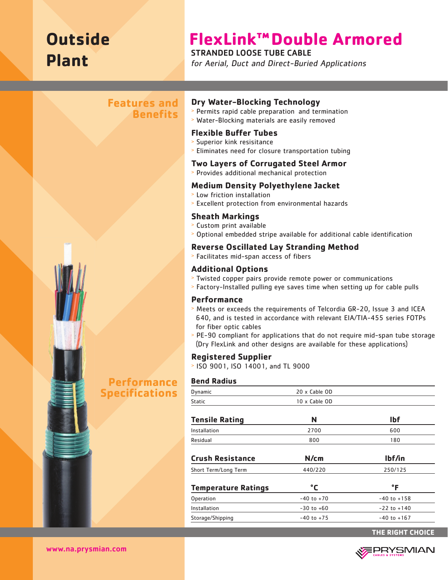# **Outside Plant**

# **FlexLink™Double Armored**

# STRANDED LOOSE TUBE CABLE

for Aerial, Duct and Direct-Buried Applications

# **Features and Benefits**



# **Performance Specifications**

### **Dry Water-Blocking Technology**

- <sup>&</sup>gt; Permits rapid cable preparation and termination
- <sup>&</sup>gt; Water-Blocking materials are easily removed

# **Flexible Buffer Tubes**

- <sup>&</sup>gt; Superior kink resisitance
- <sup>&</sup>gt; Eliminates need for closure transportation tubing

#### **Two Layers of Corrugated Steel Armor**

<sup>&</sup>gt; Provides additional mechanical protection

## **Medium Density Polyethylene Jacket**

- <sup>&</sup>gt; Low friction installation
- <sup>&</sup>gt; Excellent protection from environmental hazards

# **Sheath Markings**

- <sup>&</sup>gt; Custom print available
- <sup>&</sup>gt; Optional embedded stripe available for additional cable identification

# **Reverse Oscillated Lay Stranding Method**

<sup>&</sup>gt; Facilitates mid-span access of fibers

# **Additional Options**

- <sup>&</sup>gt; Twisted copper pairs provide remote power or communications
- <sup>&</sup>gt; Factory-Installed pulling eye saves time when setting up for cable pulls

### **Performance**

- <sup>&</sup>gt; Meets or exceeds the requirements of Telcordia GR-20, Issue 3 and ICEA 640, and is tested in accordance with relevant EIA/TIA-455 series FOTPs for fiber optic cables
- <sup>&</sup>gt; PE-90 compliant for applications that do not require mid-span tube storage (Dry FlexLink and other designs are available for these applications)

# **Registered Supplier**

<sup>&</sup>gt; ISO 9001, ISO 14001, and TL 9000

#### **Bend Radius**

| Dynamic                    | 20 x Cable OD  |                 |
|----------------------------|----------------|-----------------|
| Static                     | 10 x Cable OD  |                 |
| <b>Tensile Rating</b>      | N              | <b>Ibf</b>      |
| Installation               | 2700           | 600             |
| Residual                   | 800            | 180             |
| <b>Crush Resistance</b>    | N/cm           | lbf/in          |
| Short Term/Long Term       | 440/220        | 250/125         |
| <b>Temperature Ratings</b> | °C             | $\mathsf{P}$    |
| Operation                  | $-40$ to $+70$ | $-40$ to $+158$ |
| Installation               | $-30$ to $+60$ | $-22$ to $+140$ |
| Storage/Shipping           | $-40$ to $+75$ | $-40$ to $+167$ |
|                            |                |                 |